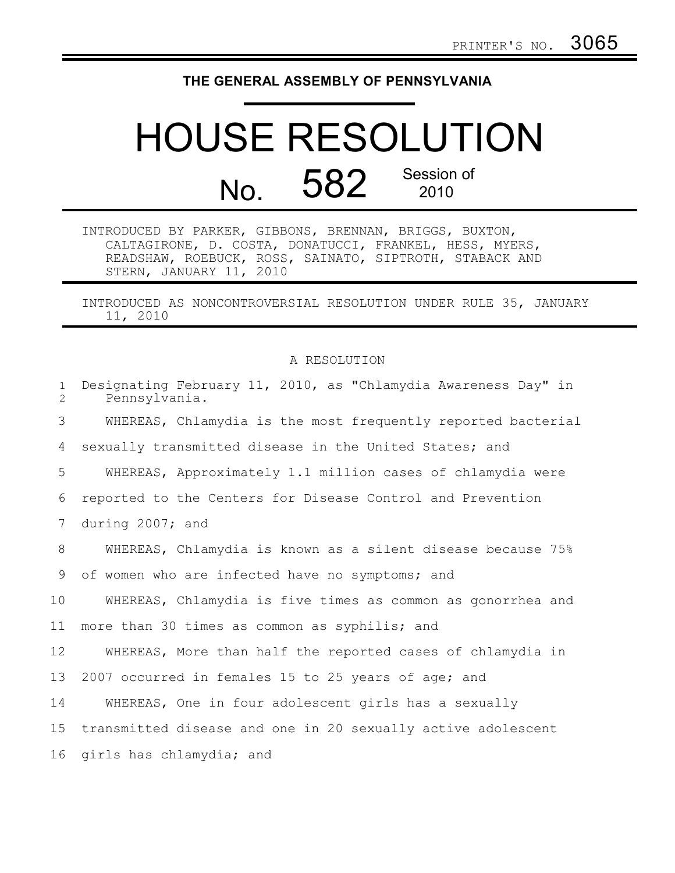## **THE GENERAL ASSEMBLY OF PENNSYLVANIA**

## HOUSE RESOLUTION No. 582 Session of 2010

INTRODUCED BY PARKER, GIBBONS, BRENNAN, BRIGGS, BUXTON, CALTAGIRONE, D. COSTA, DONATUCCI, FRANKEL, HESS, MYERS, READSHAW, ROEBUCK, ROSS, SAINATO, SIPTROTH, STABACK AND STERN, JANUARY 11, 2010

INTRODUCED AS NONCONTROVERSIAL RESOLUTION UNDER RULE 35, JANUARY 11, 2010

## A RESOLUTION

| $\mathbf{1}$<br>$\overline{2}$ | Designating February 11, 2010, as "Chlamydia Awareness Day" in<br>Pennsylvania. |
|--------------------------------|---------------------------------------------------------------------------------|
| 3                              | WHEREAS, Chlamydia is the most frequently reported bacterial                    |
| 4                              | sexually transmitted disease in the United States; and                          |
| 5                              | WHEREAS, Approximately 1.1 million cases of chlamydia were                      |
| 6                              | reported to the Centers for Disease Control and Prevention                      |
| 7                              | during 2007; and                                                                |
| 8                              | WHEREAS, Chlamydia is known as a silent disease because 75%                     |
| 9                              | of women who are infected have no symptoms; and                                 |
| 10                             | WHEREAS, Chlamydia is five times as common as gonorrhea and                     |
| 11                             | more than 30 times as common as syphilis; and                                   |
| 12                             | WHEREAS, More than half the reported cases of chlamydia in                      |
| 13                             | 2007 occurred in females 15 to 25 years of age; and                             |
| 14                             | WHEREAS, One in four adolescent girls has a sexually                            |
| 15 <sub>1</sub>                | transmitted disease and one in 20 sexually active adolescent                    |
| 16                             | girls has chlamydia; and                                                        |